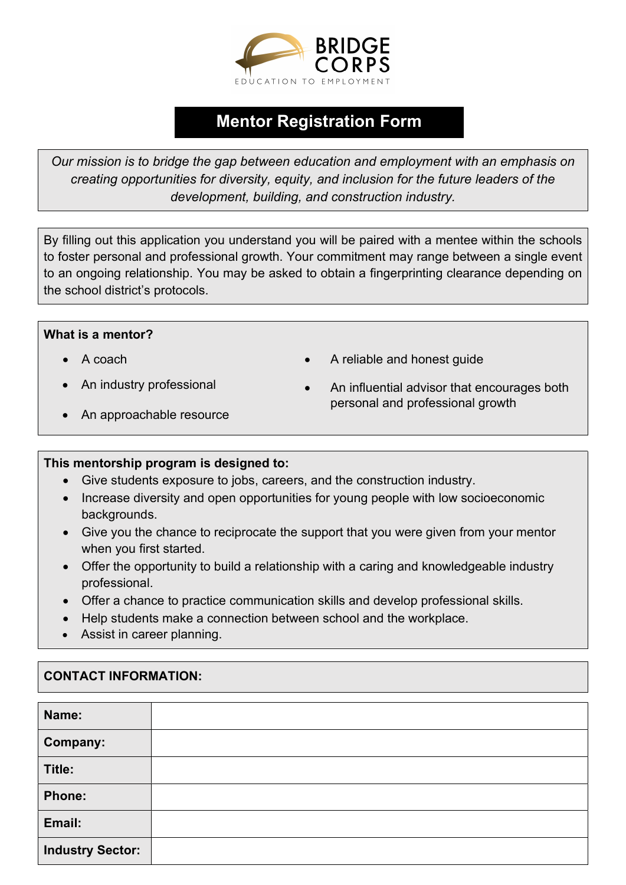

## Mentor Registration Form

Our mission is to bridge the gap between education and employment with an emphasis on creating opportunities for diversity, equity, and inclusion for the future leaders of the development, building, and construction industry.

By filling out this application you understand you will be paired with a mentee within the schools to foster personal and professional growth. Your commitment may range between a single event to an ongoing relationship. You may be asked to obtain a fingerprinting clearance depending on the school district's protocols.

## What is a mentor?

- A coach
- An industry professional
- A reliable and honest guide
- An influential advisor that encourages both personal and professional growth
- An approachable resource

## This mentorship program is designed to:

- Give students exposure to jobs, careers, and the construction industry.
- Increase diversity and open opportunities for young people with low socioeconomic backgrounds.
- Give you the chance to reciprocate the support that you were given from your mentor when you first started.
- Offer the opportunity to build a relationship with a caring and knowledgeable industry professional.
- Offer a chance to practice communication skills and develop professional skills.
- Help students make a connection between school and the workplace.
- Assist in career planning.

## CONTACT INFORMATION:

| Name:                   |  |
|-------------------------|--|
| Company:                |  |
| Title:                  |  |
| <b>Phone:</b>           |  |
| Email:                  |  |
| <b>Industry Sector:</b> |  |